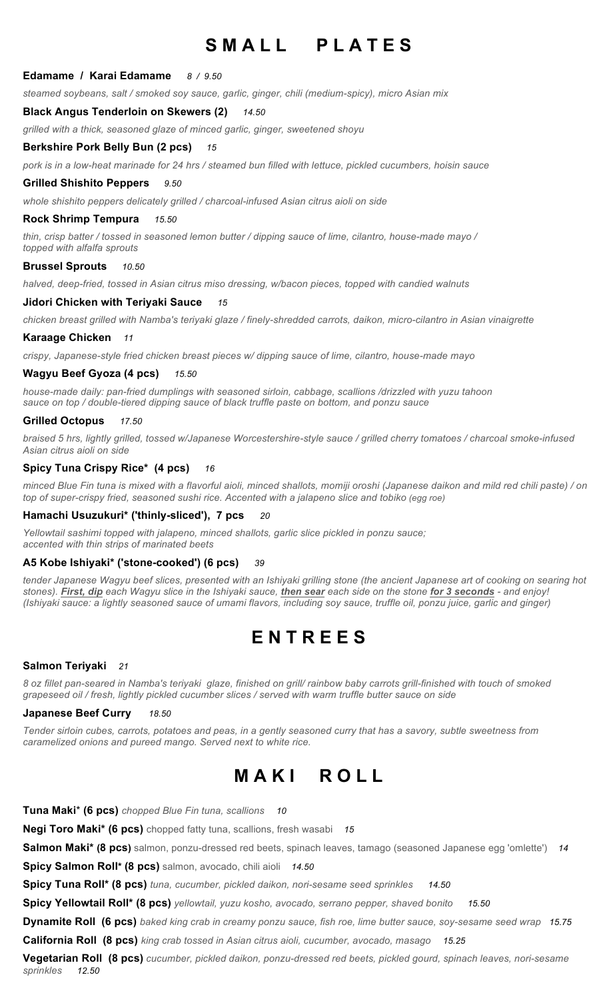## SMALL PLATES

### **Edamame / Karai Edamame** *8 / 9.50*

*steamed soybeans, salt / smoked soy sauce, garlic, ginger, chili (medium-spicy), micro Asian mix*

### **Black Angus Tenderloin on Skewers (2)** *14.50*

*grilled with a thick, seasoned glaze of minced garlic, ginger, sweetened shoyu*

### **Berkshire Pork Belly Bun (2 pcs)** *15*

*pork is in a low-heat marinade for 24 hrs / steamed bun filled with lettuce, pickled cucumbers, hoisin sauce*

### **Grilled Shishito Peppers** *9.50*

*whole shishito peppers delicately grilled / charcoal-infused Asian citrus aioli on side*

### **Rock Shrimp Tempura** *15.50*

*thin, crisp batter / tossed in seasoned lemon butter / dipping sauce of lime, cilantro, house-made mayo / topped with alfalfa sprouts*

#### **Brussel Sprouts** *10.50*

*halved, deep-fried, tossed in Asian citrus miso dressing, w/bacon pieces, topped with candied walnuts*

### **Jidori Chicken with Teriyaki Sauce** *15*

*chicken breast grilled with Namba's teriyaki glaze / finely-shredded carrots, daikon, micro-cilantro in Asian vinaigrette*

### **Karaage Chicken** *11*

*crispy, Japanese-style fried chicken breast pieces w/ dipping sauce of lime, cilantro, house-made mayo*

### **Wagyu Beef Gyoza (4 pcs)** *15.50*

*house-made daily: pan-fried dumplings with seasoned sirloin, cabbage, scallions /drizzled with yuzu tahoon sauce on top / double-tiered dipping sauce of black truffle paste on bottom, and ponzu sauce* 

### **Grilled Octopus** *17.50*

*braised 5 hrs, lightly grilled, tossed w/Japanese Worcestershire-style sauce / grilled cherry tomatoes / charcoal smoke-infused Asian citrus aioli on side*

### **Spicy Tuna Crispy Rice\* (4 pcs)** *16*

*minced Blue Fin tuna is mixed with a flavorful aioli, minced shallots, momiji oroshi (Japanese daikon and mild red chili paste) / on top of super-crispy fried, seasoned sushi rice. Accented with a jalapeno slice and tobiko (egg roe)*

### **Hamachi Usuzukuri\* ('thinly-sliced'), 7 pcs** *20*

*Yellowtail sashimi topped with jalapeno, minced shallots, garlic slice pickled in ponzu sauce; accented with thin strips of marinated beets*

#### **A5 Kobe Ishiyaki\* ('stone-cooked') (6 pcs)** *39*

*tender Japanese Wagyu beef slices, presented with an Ishiyaki grilling stone (the ancient Japanese art of cooking on searing hot stones). First, dip each Wagyu slice in the Ishiyaki sauce, then sear each side on the stone for 3 seconds - and enjoy! (Ishiyaki sauce: a lightly seasoned sauce of umami flavors, including soy sauce, truffle oil, ponzu juice, garlic and ginger)*

### **E N T R E E S**

#### **Salmon Teriyaki** *21*

*8 oz fillet pan-seared in Namba's teriyaki glaze, finished on grill/ rainbow baby carrots grill-finished with touch of smoked grapeseed oil / fresh, lightly pickled cucumber slices / served with warm truffle butter sauce on side*

#### **Japanese Beef Curry** *18.50*

*Tender sirloin cubes, carrots, potatoes and peas, in a gently seasoned curry that has a savory, subtle sweetness from caramelized onions and pureed mango. Served next to white rice.*

### **M A K I R O L L**

**Tuna Maki**\* **(6 pcs)** *chopped Blue Fin tuna, scallions 10* **Negi Toro Maki\* (6 pcs)** chopped fatty tuna, scallions, fresh wasabi *15* **Salmon Maki\* (8 pcs)** salmon, ponzu-dressed red beets, spinach leaves, tamago (seasoned Japanese egg 'omlette') *14* **Spicy Salmon Roll\* (8 pcs)** salmon, avocado, chili aioli *14.50* **Spicy Tuna Roll\* (8 pcs)** *tuna, cucumber, pickled daikon, nori-sesame seed sprinkles 14.50* **Spicy Yellowtail Roll\* (8 pcs)** *yellowtail, yuzu kosho, avocado, serrano pepper, shaved bonito 15.50* **Dynamite Roll (6 pcs)** *baked king crab in creamy ponzu sauce, fish roe, lime butter sauce, soy-sesame seed wrap 15.75* **California Roll (8 pcs)** *king crab tossed in Asian citrus aioli, cucumber, avocado, masago 15.25* **Vegetarian Roll (8 pcs)** *cucumber, pickled daikon, ponzu-dressed red beets, pickled gourd, spinach leaves, nori-sesame sprinkles 12.50*